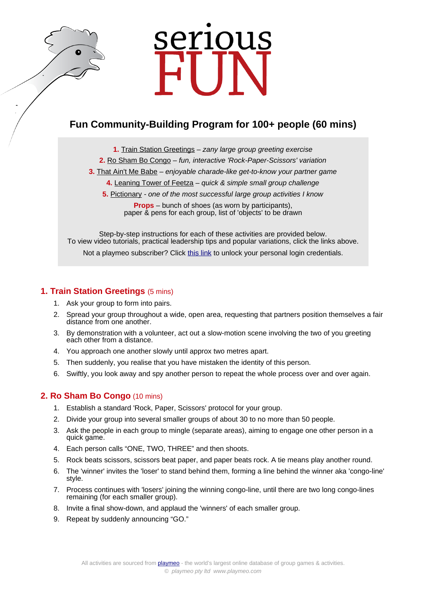# serious

# **Fun Community-Building Program for 100+ people (60 mins)**

**1.** [Train Station Greetings](https://www.playmeo.com/activities/ice-breaker-get-to-know-you-games/train-station-greetings/) – zany large group greeting exercise

- **2.** [Ro Sham Bo Congo](https://www.playmeo.com/activities/energizer-warm-up-games/ro-sham-bo-congo/) fun, interactive 'Rock-Paper-Scissors' variation
- **3.** [That Ain't Me Babe](https://www.playmeo.com/activities/ice-breaker-get-to-know-you-games/that-aint-me-babe/) enjoyable charade-like get-to-know your partner game
	- **4.** [Leaning Tower of Feetza](https://www.playmeo.com/activities/team-building-problem-solving-activities/leaning-tower-of-feetza/) quick & simple small group challenge
	- **5.** [Pictionary](https://www.playmeo.com/activities/fun-large-group-games/pictionary/) one of the most successful large group activities I know

**Props** – bunch of shoes (as worn by participants), paper & pens for each group, list of 'objects' to be drawn

Step-by-step instructions for each of these activities are provided below. To view video tutorials, practical leadership tips and popular variations, click the links above. Not a playmeo subscriber? Click [this link](http://www.playmeo.com/serious-fun-offer) to unlock your personal login credentials.

# **1. Train Station Greetings** (5 mins)

- 1. Ask your group to form into pairs.
- 2. Spread your group throughout a wide, open area, requesting that partners position themselves a fair distance from one another.
- 3. By demonstration with a volunteer, act out a slow-motion scene involving the two of you greeting each other from a distance.
- 4. You approach one another slowly until approx two metres apart.
- 5. Then suddenly, you realise that you have mistaken the identity of this person.
- 6. Swiftly, you look away and spy another person to repeat the whole process over and over again.

# **2. Ro Sham Bo Congo** (10 mins)

- 1. Establish a standard 'Rock, Paper, Scissors' protocol for your group.
- 2. Divide your group into several smaller groups of about 30 to no more than 50 people.
- 3. Ask the people in each group to mingle (separate areas), aiming to engage one other person in a quick game.
- 4. Each person calls "ONE, TWO, THREE" and then shoots.
- 5. Rock beats scissors, scissors beat paper, and paper beats rock. A tie means play another round.
- 6. The 'winner' invites the 'loser' to stand behind them, forming a line behind the winner aka 'congo-line' style.
- 7. Process continues with 'losers' joining the winning congo-line, until there are two long congo-lines remaining (for each smaller group).
- 8. Invite a final show-down, and applaud the 'winners' of each smaller group.
- 9. Repeat by suddenly announcing "GO."